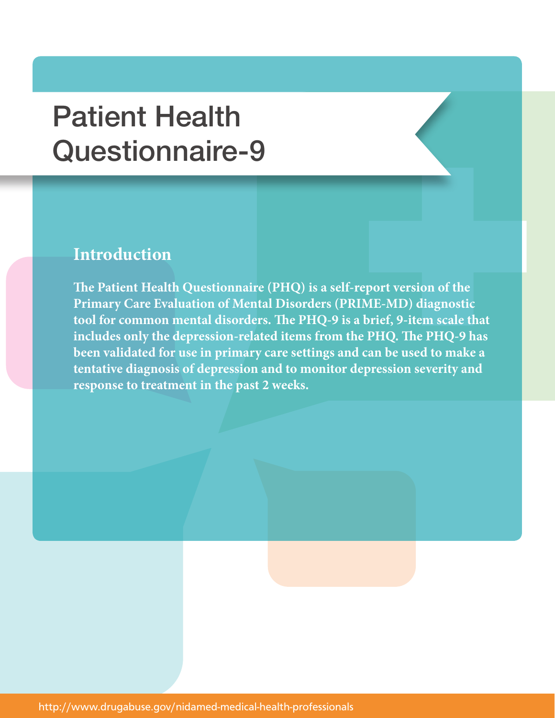## Patient Health Questionnaire-9

## **Introduction**

**The Patient Health Questionnaire (PHQ) is a self-report version of the Primary Care Evaluation of Mental Disorders (PRIME-MD) diagnostic tool for common mental disorders. The PHQ-9 is a brief, 9-item scale that includes only the depression-related items from the PHQ. The PHQ-9 has been validated for use in primary care settings and can be used to make a tentative diagnosis of depression and to monitor depression severity and response to treatment in the past 2 weeks.**

http://www.drugabuse.gov/nidamed-medical-health-professionals